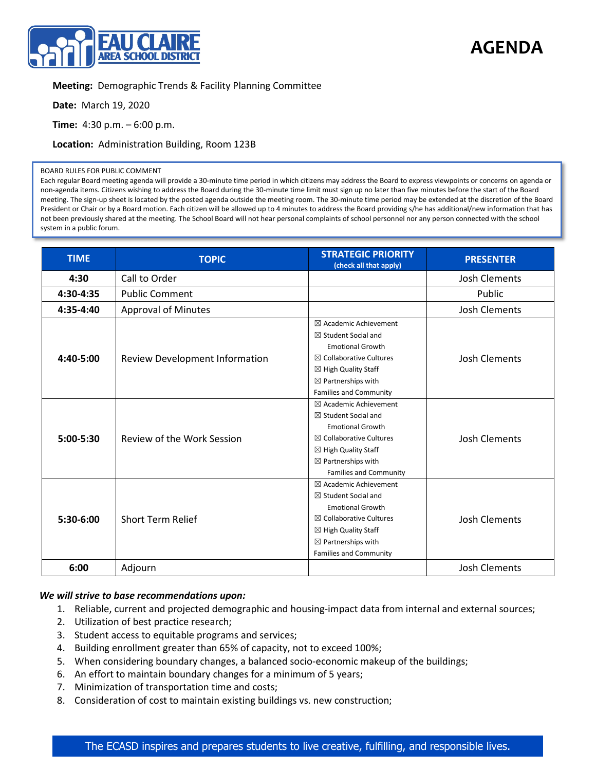

## **AGENDA**

## **Meeting:** Demographic Trends & Facility Planning Committee

**Date:** March 19, 2020

**Time:** 4:30 p.m. – 6:00 p.m.

**Location:** Administration Building, Room 123B

## BOARD RULES FOR PUBLIC COMMENT

Each regular Board meeting agenda will provide a 30-minute time period in which citizens may address the Board to express viewpoints or concerns on agenda or non-agenda items. Citizens wishing to address the Board during the 30-minute time limit must sign up no later than five minutes before the start of the Board meeting. The sign-up sheet is located by the posted agenda outside the meeting room. The 30-minute time period may be extended at the discretion of the Board President or Chair or by a Board motion. Each citizen will be allowed up to 4 minutes to address the Board providing s/he has additional/new information that has not been previously shared at the meeting. The School Board will not hear personal complaints of school personnel nor any person connected with the school system in a public forum.

| <b>TIME</b> | <b>TOPIC</b>                   | <b>STRATEGIC PRIORITY</b><br>(check all that apply)                                                                                                                                                                                     | <b>PRESENTER</b>     |
|-------------|--------------------------------|-----------------------------------------------------------------------------------------------------------------------------------------------------------------------------------------------------------------------------------------|----------------------|
| 4:30        | Call to Order                  |                                                                                                                                                                                                                                         | <b>Josh Clements</b> |
| 4:30-4:35   | <b>Public Comment</b>          |                                                                                                                                                                                                                                         | Public               |
| 4:35-4:40   | <b>Approval of Minutes</b>     |                                                                                                                                                                                                                                         | <b>Josh Clements</b> |
| $4:40-5:00$ | Review Development Information | $\boxtimes$ Academic Achievement<br>$\boxtimes$ Student Social and<br><b>Emotional Growth</b><br>$\boxtimes$ Collaborative Cultures<br>$\boxtimes$ High Quality Staff<br>$\boxtimes$ Partnerships with<br><b>Families and Community</b> | <b>Josh Clements</b> |
| $5:00-5:30$ | Review of the Work Session     | $\boxtimes$ Academic Achievement<br>$\boxtimes$ Student Social and<br><b>Emotional Growth</b><br>$\boxtimes$ Collaborative Cultures<br>$\boxtimes$ High Quality Staff<br>$\boxtimes$ Partnerships with<br><b>Families and Community</b> | <b>Josh Clements</b> |
| $5:30-6:00$ | <b>Short Term Relief</b>       | $\boxtimes$ Academic Achievement<br>$\boxtimes$ Student Social and<br><b>Emotional Growth</b><br>$\boxtimes$ Collaborative Cultures<br>$\boxtimes$ High Quality Staff<br>$\boxtimes$ Partnerships with<br><b>Families and Community</b> | <b>Josh Clements</b> |
| 6:00        | Adjourn                        |                                                                                                                                                                                                                                         | <b>Josh Clements</b> |

## *We will strive to base recommendations upon:*

- 1. Reliable, current and projected demographic and housing-impact data from internal and external sources;
- 2. Utilization of best practice research;
- 3. Student access to equitable programs and services;
- 4. Building enrollment greater than 65% of capacity, not to exceed 100%;
- 5. When considering boundary changes, a balanced socio-economic makeup of the buildings;
- 6. An effort to maintain boundary changes for a minimum of 5 years;
- 7. Minimization of transportation time and costs;
- 8. Consideration of cost to maintain existing buildings vs. new construction;